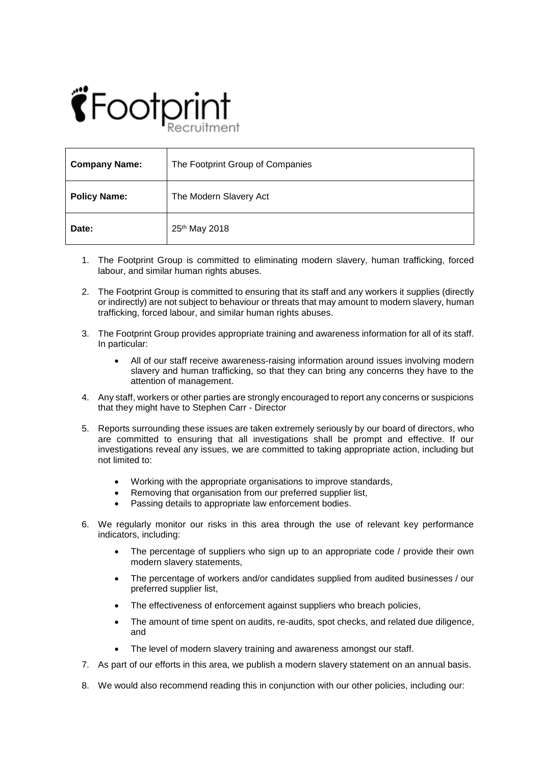## $\hat{\mathbf{C}}$  Footpi

| <b>Company Name:</b> | The Footprint Group of Companies |
|----------------------|----------------------------------|
| <b>Policy Name:</b>  | The Modern Slavery Act           |
| Date:                | 25 <sup>th</sup> May 2018        |

- 1. The Footprint Group is committed to eliminating modern slavery, human trafficking, forced labour, and similar human rights abuses.
- 2. The Footprint Group is committed to ensuring that its staff and any workers it supplies (directly or indirectly) are not subject to behaviour or threats that may amount to modern slavery, human trafficking, forced labour, and similar human rights abuses.
- 3. The Footprint Group provides appropriate training and awareness information for all of its staff. In particular:
	- All of our staff receive awareness-raising information around issues involving modern slavery and human trafficking, so that they can bring any concerns they have to the attention of management.
- 4. Any staff, workers or other parties are strongly encouraged to report any concerns or suspicions that they might have to Stephen Carr - Director
- 5. Reports surrounding these issues are taken extremely seriously by our board of directors, who are committed to ensuring that all investigations shall be prompt and effective. If our investigations reveal any issues, we are committed to taking appropriate action, including but not limited to:
	- Working with the appropriate organisations to improve standards,
	- Removing that organisation from our preferred supplier list,
	- Passing details to appropriate law enforcement bodies.
- 6. We regularly monitor our risks in this area through the use of relevant key performance indicators, including:
	- The percentage of suppliers who sign up to an appropriate code / provide their own modern slavery statements,
	- The percentage of workers and/or candidates supplied from audited businesses / our preferred supplier list,
	- The effectiveness of enforcement against suppliers who breach policies,
	- The amount of time spent on audits, re-audits, spot checks, and related due diligence, and
	- The level of modern slavery training and awareness amongst our staff.
- 7. As part of our efforts in this area, we publish a modern slavery statement on an annual basis.
- 8. We would also recommend reading this in conjunction with our other policies, including our: